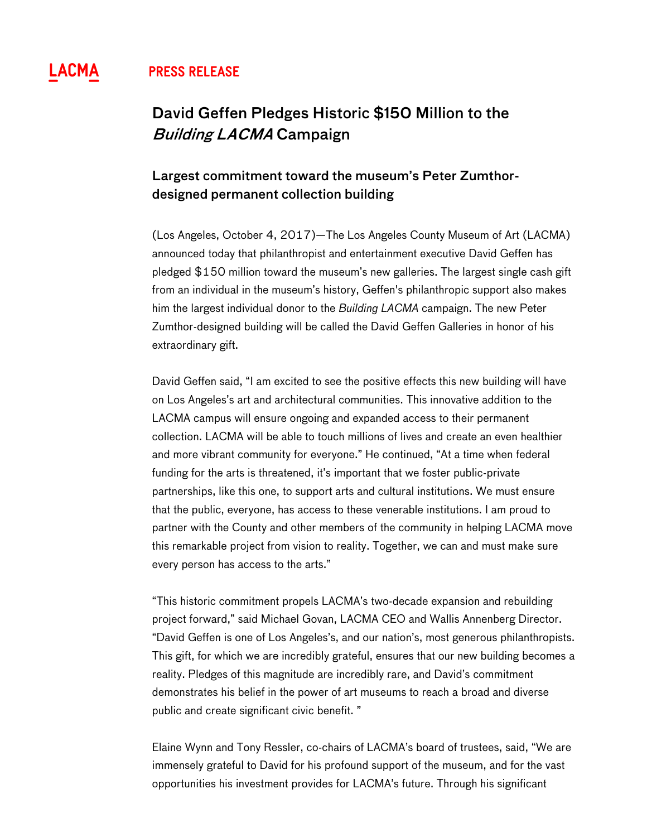## **^ PRESS RELEASE**

# David Geffen Pledges Historic \$150 Million to the Building LACMA Campaign

## Largest commitment toward the museum's Peter Zumthordesigned permanent collection building

(Los Angeles, October 4, 2017)—The Los Angeles County Museum of Art (LACMA) announced today that philanthropist and entertainment executive David Geffen has pledged \$150 million toward the museum's new galleries. The largest single cash gift from an individual in the museum's history, Geffen's philanthropic support also makes him the largest individual donor to the *Building LACMA* campaign. The new Peter Zumthor-designed building will be called the David Geffen Galleries in honor of his extraordinary gift.

David Geffen said, "I am excited to see the positive effects this new building will have on Los Angeles's art and architectural communities. This innovative addition to the LACMA campus will ensure ongoing and expanded access to their permanent collection. LACMA will be able to touch millions of lives and create an even healthier and more vibrant community for everyone." He continued, "At a time when federal funding for the arts is threatened, it's important that we foster public-private partnerships, like this one, to support arts and cultural institutions. We must ensure that the public, everyone, has access to these venerable institutions. I am proud to partner with the County and other members of the community in helping LACMA move this remarkable project from vision to reality. Together, we can and must make sure every person has access to the arts."

"This historic commitment propels LACMA's two-decade expansion and rebuilding project forward," said Michael Govan, LACMA CEO and Wallis Annenberg Director. "David Geffen is one of Los Angeles's, and our nation's, most generous philanthropists. This gift, for which we are incredibly grateful, ensures that our new building becomes a reality. Pledges of this magnitude are incredibly rare, and David's commitment demonstrates his belief in the power of art museums to reach a broad and diverse public and create significant civic benefit. "

Elaine Wynn and Tony Ressler, co-chairs of LACMA's board of trustees, said, "We are immensely grateful to David for his profound support of the museum, and for the vast opportunities his investment provides for LACMA's future. Through his significant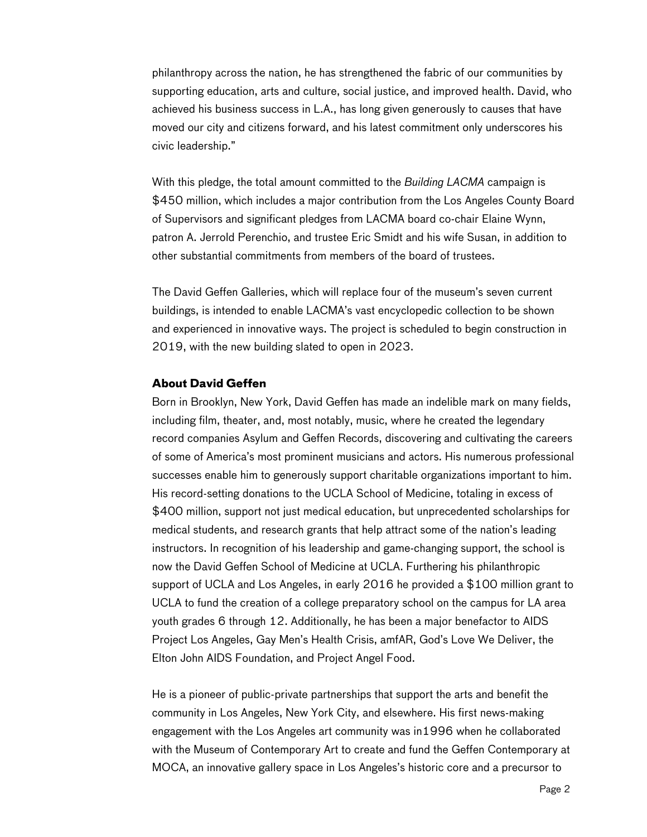philanthropy across the nation, he has strengthened the fabric of our communities by supporting education, arts and culture, social justice, and improved health. David, who achieved his business success in L.A., has long given generously to causes that have moved our city and citizens forward, and his latest commitment only underscores his civic leadership."

With this pledge, the total amount committed to the *Building LACMA* campaign is \$450 million, which includes a major contribution from the Los Angeles County Board of Supervisors and significant pledges from LACMA board co-chair Elaine Wynn, patron A. Jerrold Perenchio, and trustee Eric Smidt and his wife Susan, in addition to other substantial commitments from members of the board of trustees.

The David Geffen Galleries, which will replace four of the museum's seven current buildings, is intended to enable LACMA's vast encyclopedic collection to be shown and experienced in innovative ways. The project is scheduled to begin construction in 2019, with the new building slated to open in 2023.

### **About David Geffen**

Born in Brooklyn, New York, David Geffen has made an indelible mark on many fields, including film, theater, and, most notably, music, where he created the legendary record companies Asylum and Geffen Records, discovering and cultivating the careers of some of America's most prominent musicians and actors. His numerous professional successes enable him to generously support charitable organizations important to him. His record-setting donations to the UCLA School of Medicine, totaling in excess of \$400 million, support not just medical education, but unprecedented scholarships for medical students, and research grants that help attract some of the nation's leading instructors. In recognition of his leadership and game-changing support, the school is now the David Geffen School of Medicine at UCLA. Furthering his philanthropic support of UCLA and Los Angeles, in early 2016 he provided a \$100 million grant to UCLA to fund the creation of a college preparatory school on the campus for LA area youth grades 6 through 12. Additionally, he has been a major benefactor to AIDS Project Los Angeles, Gay Men's Health Crisis, amfAR, God's Love We Deliver, the Elton John AIDS Foundation, and Project Angel Food.

He is a pioneer of public-private partnerships that support the arts and benefit the community in Los Angeles, New York City, and elsewhere. His first news-making engagement with the Los Angeles art community was in1996 when he collaborated with the Museum of Contemporary Art to create and fund the Geffen Contemporary at MOCA, an innovative gallery space in Los Angeles's historic core and a precursor to